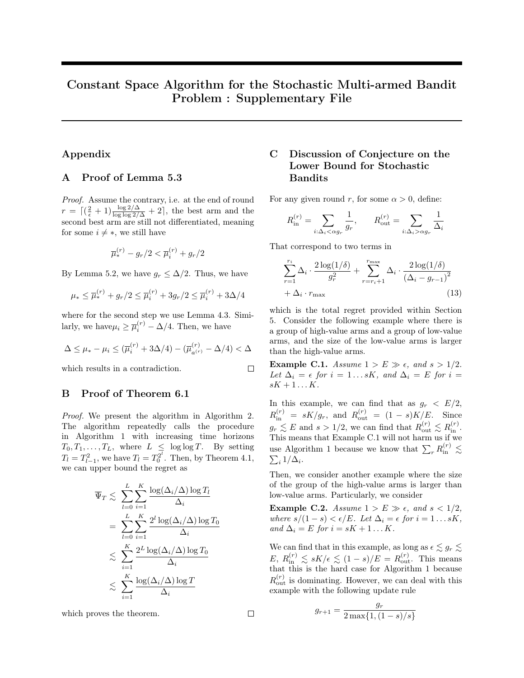# <span id="page-0-2"></span>Constant Space Algorithm for the Stochastic Multi-armed Bandit Problem : Supplementary File

### Appendix

#### A Proof of Lemma 5.3

Proof. Assume the contrary, i.e. at the end of round  $r = \left[\left(\frac{2}{\epsilon} + 1\right) \frac{\log 2/\Delta}{\log \log 2/\Delta} + 2\right]$ , the best arm and the second best arm are still not differentiated, meaning for some  $i \neq *$ , we still have

$$
\overline{\mu}_{*}^{(r)} - g_{r}/2 < \overline{\mu}_{i}^{(r)} + g_{r}/2
$$

By Lemma 5.2, we have  $g_r \leq \Delta/2$ . Thus, we have

$$
\mu_* \le \overline{\mu}_*^{(r)} + g_r/2 \le \overline{\mu}_i^{(r)} + 3g_r/2 \le \overline{\mu}_i^{(r)} + 3\Delta/4
$$

where for the second step we use Lemma 4.3. Similarly, we have  $\mu_i \geq \overline{\mu}_i^{(r)} - \Delta/4$ . Then, we have

$$
\Delta \le \mu_* - \mu_i \le (\overline{\mu}_i^{(r)} + 3\Delta/4) - (\overline{\mu}_{a^{(r)}}^{(r)} - \Delta/4) < \Delta
$$

which results in a contradiction.

#### B Proof of Theorem 6.1

Proof. We present the algorithm in Algorithm 2. The algorithm repeatedly calls the procedure in Algorithm 1 with increasing time horizons  $T_0, T_1, \ldots, T_L$ , where  $L \leq \log \log T$ . By setting  $T_l = T_{l-1}^2$ , we have  $T_l = T_0^{2^l}$ . Then, by Theorem 4.1, we can upper bound the regret as

$$
\overline{\Psi}_{T} \lesssim \sum_{l=0}^{L} \sum_{i=1}^{K} \frac{\log(\Delta_{i}/\Delta) \log T_{l}}{\Delta_{i}}
$$
\n
$$
= \sum_{l=0}^{L} \sum_{i=1}^{K} \frac{2^{l} \log(\Delta_{i}/\Delta) \log T_{0}}{\Delta_{i}}
$$
\n
$$
\lesssim \sum_{i=1}^{K} \frac{2^{L} \log(\Delta_{i}/\Delta) \log T_{0}}{\Delta_{i}}
$$
\n
$$
\lesssim \sum_{i=1}^{K} \frac{\log(\Delta_{i}/\Delta) \log T}{\Delta_{i}}
$$

which proves the theorem.

## C Discussion of Conjecture on the Lower Bound for Stochastic Bandits

For any given round r, for some  $\alpha > 0$ , define:

$$
R_{\text{in}}^{(r)} = \sum_{i:\Delta_i < \alpha g_r} \frac{1}{g_r}, \qquad R_{\text{out}}^{(r)} = \sum_{i:\Delta_i > \alpha g_r} \frac{1}{\Delta_i}
$$

That correspond to two terms in

$$
\sum_{r=1}^{r_i} \Delta_i \cdot \frac{2 \log(1/\delta)}{g_r^2} + \sum_{r=r_i+1}^{r_{\text{max}}} \Delta_i \cdot \frac{2 \log(1/\delta)}{(\Delta_i - g_{r-1})^2} + \Delta_i \cdot r_{\text{max}}
$$
(13)

which is the total regret provided within Section 5. Consider the following example where there is a group of high-value arms and a group of low-value arms, and the size of the low-value arms is larger than the high-value arms.

<span id="page-0-0"></span>Example C.1. Assume  $1 > E \gg \epsilon$ , and  $s > 1/2$ . Let  $\Delta_i = \epsilon$  for  $i = 1...sK$ , and  $\Delta_i = E$  for  $i =$  $sK+1...K$ .

In this example, we can find that as  $g_r < E/2$ ,  $R_{\text{in}}^{(r)} = sK/g_r$ , and  $R_{\text{out}}^{(r)} = (1-s)K/E$ . Since  $g_r \lesssim E$  and  $s > 1/2$ , we can find that  $R_{\text{out}}^{(r)} \lesssim R_{\text{in}}^{(r)}$ . This means that Example [C.1](#page-0-0) will not harm us if we use Algorithm 1 because we know that  $\sum_r R_{\text{in}}^{(r)} \lesssim$  $\sum_i 1/\Delta_i$ .

Then, we consider another example where the size of the group of the high-value arms is larger than low-value arms. Particularly, we consider

<span id="page-0-1"></span>Example C.2. Assume  $1 > E \gg \epsilon$ , and  $s < 1/2$ , where  $s/(1-s) < \epsilon/E$ . Let  $\Delta_i = \epsilon$  for  $i = 1...sK$ , and  $\Delta_i = E$  for  $i = sK + 1 \dots K$ .

We can find that in this example, as long as  $\epsilon \lesssim g_r \lesssim$  $E, R_{\text{in}}^{(r)} \lesssim sK/\epsilon \lesssim (1-s)/E = R_{\text{out}}^{(r)}$ . This means that this is the hard case for Algorithm 1 because  $R_{\text{out}}^{(r)}$  is dominating. However, we can deal with this example with the following update rule

$$
g_{r+1} = \frac{g_r}{2 \max\{1, (1-s)/s\}}
$$

 $\Box$ 

 $\Box$